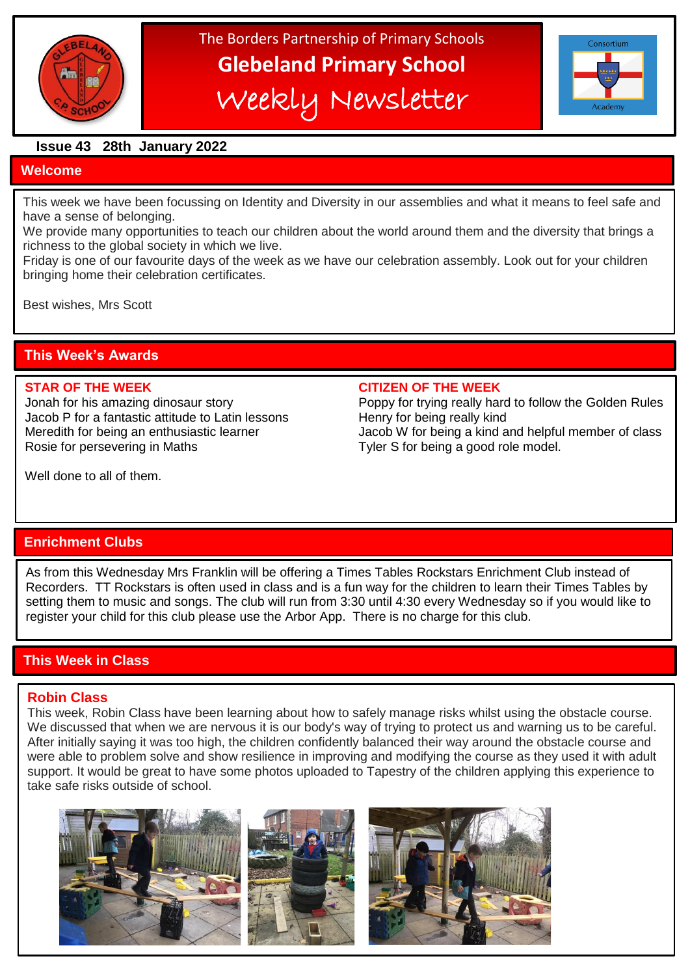

The Borders Partnership of Primary Schools **Glebeland Primary School** Weekly Newsletter



#### **Issue 43 28th January 2022**

#### **Welcome**

This week we have been focussing on Identity and Diversity in our assemblies and what it means to feel safe and have a sense of belonging.

We provide many opportunities to teach our children about the world around them and the diversity that brings a richness to the global society in which we live.

Friday is one of our favourite days of the week as we have our celebration assembly. Look out for your children bringing home their celebration certificates.

Best wishes, Mrs Scott

## **This Week's Awards**

Jacob P for a fantastic attitude to Latin lessons Henry for being really kind Rosie for persevering in Maths Tyler S for being a good role model.

#### **STAR OF THE WEEK CITIZEN OF THE WEEK**

Jonah for his amazing dinosaur story Poppy for trying really hard to follow the Golden Rules Meredith for being an enthusiastic learner **Jacob W** for being a kind and helpful member of class

Well done to all of them.

## **Enrichment Clubs**

As from this Wednesday Mrs Franklin will be offering a Times Tables Rockstars Enrichment Club instead of Recorders. TT Rockstars is often used in class and is a fun way for the children to learn their Times Tables by setting them to music and songs. The club will run from 3:30 until 4:30 every Wednesday so if you would like to register your child for this club please use the Arbor App. There is no charge for this club.

## **This Week in Class**

#### **Robin Class**

i

This week, Robin Class have been learning about how to safely manage risks whilst using the obstacle course. We discussed that when we are nervous it is our body's way of trying to protect us and warning us to be careful. After initially saying it was too high, the children confidently balanced their way around the obstacle course and were able to problem solve and show resilience in improving and modifying the course as they used it with adult support. It would be great to have some photos uploaded to Tapestry of the children applying this experience to take safe risks outside of school.